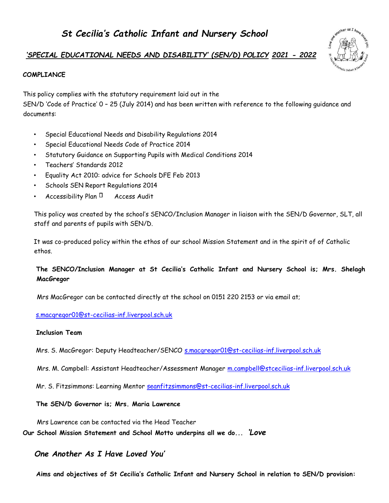# another as I have

# *'SPECIAL EDUCATIONAL NEEDS AND DISABILITY' (SEN/D) POLICY 2021 - 2022*

# **COMPLIANCE**

This policy complies with the statutory requirement laid out in the

SEN/D 'Code of Practice' 0 – 25 (July 2014) and has been written with reference to the following guidance and documents:

- Special Educational Needs and Disability Regulations 2014
- Special Educational Needs Code of Practice 2014
- Statutory Guidance on Supporting Pupils with Medical Conditions 2014
- Teachers' Standards 2012
- Equality Act 2010: advice for Schools DFE Feb 2013
- Schools SEN Report Regulations 2014
- Accessibility Plan  $\Box$  Access Audit

This policy was created by the school's SENCO/Inclusion Manager in liaison with the SEN/D Governor, SLT, all staff and parents of pupils with SEN/D.

It was co-produced policy within the ethos of our school Mission Statement and in the spirit of of Catholic ethos.

# **The SENCO/Inclusion Manager at St Cecilia's Catholic Infant and Nursery School is; Mrs. Shelagh MacGregor**

Mrs MacGregor can be contacted directly at the school on 0151 220 2153 or via email at;

### s.macgregor01@st-cecilias-inf.liverpool.sch.uk

# **Inclusion Team**

Mrs. S. MacGregor: Deputy Headteacher/SENCO s.macgregor01@st-cecilias-inf.liverpool.sch.uk

Mrs. M. Campbell: Assistant Headteacher/Assessment Manager m.campbell@stcecilias-inf.liverpool.sch.uk

Mr. S. Fitzsimmons: Learning Mentor seanfitzsimmons@st-cecilias-inf.liverpool.sch.uk

# **The SEN/D Governor is; Mrs. Maria Lawrence**

Mrs Lawrence can be contacted via the Head Teacher

**Our School Mission Statement and School Motto underpins all we do...** *'Love* 

# *One Another As I Have Loved You'*

**Aims and objectives of St Cecilia's Catholic Infant and Nursery School in relation to SEN/D provision:**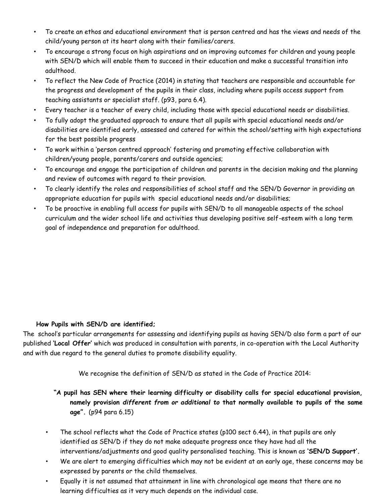- To create an ethos and educational environment that is person centred and has the views and needs of the child/young person at its heart along with their families/carers.
- To encourage a strong focus on high aspirations and on improving outcomes for children and young people with SEN/D which will enable them to succeed in their education and make a successful transition into adulthood.
- To reflect the New Code of Practice (2014) in stating that teachers are responsible and accountable for the progress and development of the pupils in their class, including where pupils access support from teaching assistants or specialist staff. (p93, para 6.4).
- Every teacher is a teacher of every child, including those with special educational needs or disabilities.
- To fully adopt the graduated approach to ensure that all pupils with special educational needs and/or disabilities are identified early, assessed and catered for within the school/setting with high expectations for the best possible progress
- To work within a 'person centred approach' fostering and promoting effective collaboration with children/young people, parents/carers and outside agencies;
- To encourage and engage the participation of children and parents in the decision making and the planning and review of outcomes with regard to their provision.
- To clearly identify the roles and responsibilities of school staff and the SEN/D Governor in providing an appropriate education for pupils with special educational needs and/or disabilities;
- To be proactive in enabling full access for pupils with SEN/D to all manageable aspects of the school curriculum and the wider school life and activities thus developing positive self-esteem with a long term goal of independence and preparation for adulthood.

# **How Pupils with SEN/D are identified;**

The school's particular arrangements for assessing and identifying pupils as having SEN/D also form a part of our published **'Local Offer'** which was produced in consultation with parents, in co-operation with the Local Authority and with due regard to the general duties to promote disability equality.

We recognise the definition of SEN/D as stated in the Code of Practice 2014:

**"A pupil has SEN where their learning difficulty or disability calls for special educational provision, namely provision** *different from or additional to* **that normally available to pupils of the same age".** (p94 para 6.15)

- The school reflects what the Code of Practice states (p100 sect 6.44), in that pupils are only identified as SEN/D if they do not make adequate progress once they have had all the interventions/adjustments and good quality personalised teaching. This is known as **'SEN/D Support'.**
- We are alert to emerging difficulties which may not be evident at an early age, these concerns may be expressed by parents or the child themselves.
- Equally it is not assumed that attainment in line with chronological age means that there are no learning difficulties as it very much depends on the individual case.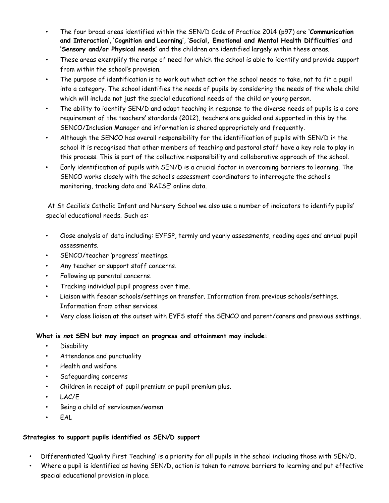- The four broad areas identified within the SEN/D Code of Practice 2014 (p97) are **'Communication and Interaction'**, **'Cognition and Learning'**, **'Social, Emotional and Mental Health Difficulties'** and **'Sensory and/or Physical needs'** and the children are identified largely within these areas.
- These areas exemplify the range of need for which the school is able to identify and provide support from within the school's provision.
- The purpose of identification is to work out what action the school needs to take, not to fit a pupil into a category. The school identifies the needs of pupils by considering the needs of the whole child which will include not just the special educational needs of the child or young person.
- The ability to identify SEN/D and adapt teaching in response to the diverse needs of pupils is a core requirement of the teachers' standards (2012), teachers are guided and supported in this by the SENCO/Inclusion Manager and information is shared appropriately and frequently.
- Although the SENCO has overall responsibility for the identification of pupils with SEN/D in the school it is recognised that other members of teaching and pastoral staff have a key role to play in this process. This is part of the collective responsibility and collaborative approach of the school.
- Early identification of pupils with SEN/D is a crucial factor in overcoming barriers to learning. The SENCO works closely with the school's assessment coordinators to interrogate the school's monitoring, tracking data and 'RAISE' online data.

At St Cecilia's Catholic Infant and Nursery School we also use a number of indicators to identify pupils' special educational needs. Such as:

- Close analysis of data including: EYFSP, termly and yearly assessments, reading ages and annual pupil assessments.
- SENCO/teacher 'progress' meetings.
- Any teacher or support staff concerns.
- Following up parental concerns.
- Tracking individual pupil progress over time.
- Liaison with feeder schools/settings on transfer. Information from previous schools/settings. Information from other services.
- Very close liaison at the outset with EYFS staff the SENCO and parent/carers and previous settings.

# **What is** *not* **SEN but may impact on progress and attainment may include:**

- Disability
- Attendance and punctuality
- Health and welfare
- Safeguarding concerns
- Children in receipt of pupil premium or pupil premium plus.
- LAC/E
- Being a child of servicemen/women
- EAL

# **Strategies to support pupils identified as SEN/D support**

- Differentiated 'Quality First Teaching' is a priority for all pupils in the school including those with SEN/D.
- Where a pupil is identified as having SEN/D, action is taken to remove barriers to learning and put effective special educational provision in place.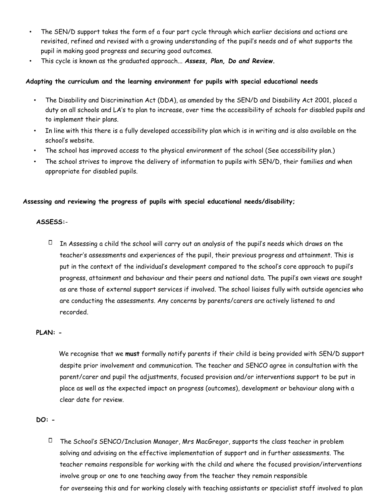- The SEN/D support takes the form of a four part cycle through which earlier decisions and actions are revisited, refined and revised with a growing understanding of the pupil's needs and of what supports the pupil in making good progress and securing good outcomes.
- This cycle is known as the graduated approach... *Assess, Plan, Do and Review.*

### **Adapting the curriculum and the learning environment for pupils with special educational needs**

- The Disability and Discrimination Act (DDA), as amended by the SEN/D and Disability Act 2001, placed a duty on all schools and LA's to plan to increase, over time the accessibility of schools for disabled pupils and to implement their plans.
- In line with this there is a fully developed accessibility plan which is in writing and is also available on the school's website.
- The school has improved access to the physical environment of the school (See accessibility plan.)
- The school strives to improve the delivery of information to pupils with SEN/D, their families and when appropriate for disabled pupils.

### **Assessing and reviewing the progress of pupils with special educational needs/disability;**

### **ASSESS:**-

 $\Box$  In Assessing a child the school will carry out an analysis of the pupil's needs which draws on the teacher's assessments and experiences of the pupil, their previous progress and attainment. This is put in the context of the individual's development compared to the school's core approach to pupil's progress, attainment and behaviour and their peers and national data. The pupil's own views are sought as are those of external support services if involved. The school liaises fully with outside agencies who are conducting the assessments. Any concerns by parents/carers are actively listened to and recorded.

### **PLAN: -**

 We recognise that we **must** formally notify parents if their child is being provided with SEN/D support despite prior involvement and communication. The teacher and SENCO agree in consultation with the parent/carer and pupil the adjustments, focused provision and/or interventions support to be put in place as well as the expected impact on progress (outcomes), development or behaviour along with a clear date for review.

### **DO: -**

 $\Box$  The School's SENCO/Inclusion Manager, Mrs MacGregor, supports the class teacher in problem solving and advising on the effective implementation of support and in further assessments. The teacher remains responsible for working with the child and where the focused provision/interventions involve group or one to one teaching away from the teacher they remain responsible for overseeing this and for working closely with teaching assistants or specialist staff involved to plan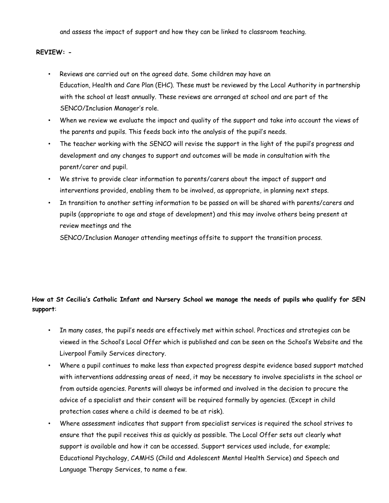and assess the impact of support and how they can be linked to classroom teaching.

### **REVIEW: -**

- Reviews are carried out on the agreed date. Some children may have an Education, Health and Care Plan (EHC). These must be reviewed by the Local Authority in partnership with the school at least annually. These reviews are arranged at school and are part of the SENCO/Inclusion Manager's role.
- When we review we evaluate the impact and quality of the support and take into account the views of the parents and pupils. This feeds back into the analysis of the pupil's needs.
- The teacher working with the SENCO will revise the support in the light of the pupil's progress and development and any changes to support and outcomes will be made in consultation with the parent/carer and pupil.
- We strive to provide clear information to parents/carers about the impact of support and interventions provided, enabling them to be involved, as appropriate, in planning next steps.
- In transition to another setting information to be passed on will be shared with parents/carers and pupils (appropriate to age and stage of development) and this may involve others being present at review meetings and the

SENCO/Inclusion Manager attending meetings offsite to support the transition process.

# **How at St Cecilia's Catholic Infant and Nursery School we manage the needs of pupils who qualify for SEN support**:

- In many cases, the pupil's needs are effectively met within school. Practices and strategies can be viewed in the School's Local Offer which is published and can be seen on the School's Website and the Liverpool Family Services directory.
- Where a pupil continues to make less than expected progress despite evidence based support matched with interventions addressing areas of need, it may be necessary to involve specialists in the school or from outside agencies. Parents will always be informed and involved in the decision to procure the advice of a specialist and their consent will be required formally by agencies. (Except in child protection cases where a child is deemed to be at risk).
- Where assessment indicates that support from specialist services is required the school strives to ensure that the pupil receives this as quickly as possible. The Local Offer sets out clearly what support is available and how it can be accessed. Support services used include, for example; Educational Psychology, CAMHS (Child and Adolescent Mental Health Service) and Speech and Language Therapy Services, to name a few.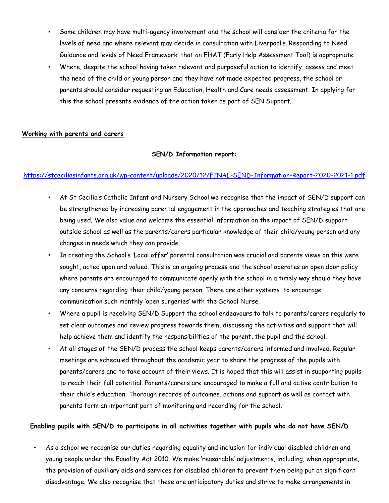- Some children may have multi-agency involvement and the school will consider the criteria for the levels of need and where relevant may decide in consultation with Liverpool's 'Responding to Need Guidance and levels of Need Framework' that an EHAT (Early Help Assessment Tool) is appropriate.
- Where, despite the school having taken relevant and purposeful action to identify, assess and meet the need of the child or young person and they have not made expected progress, the school or parents should consider requesting an Education, Health and Care needs assessment. In applying for this the school presents evidence of the action taken as part of SEN Support.

### **Working with parents and carers**

### **SEN/D Information report:**

### https://stceciliasinfants.org.uk/wp-content/uploads/2020/12/FINAL-SEND-Information-Report-2020-2021-1.pdf

- At St Cecilia's Catholic Infant and Nursery School we recognise that the impact of SEN/D support can be strengthened by increasing parental engagement in the approaches and teaching strategies that are being used. We also value and welcome the essential information on the impact of SEN/D support outside school as well as the parents/carers particular knowledge of their child/young person and any changes in needs which they can provide.
- In creating the School's 'Local offer' parental consultation was crucial and parents views on this were sought, acted upon and valued. This is an ongoing process and the school operates an open door policy where parents are encouraged to communicate openly with the school in a timely way should they have any concerns regarding their child/young person. There are other systems to encourage communication such monthly 'open surgeries' with the School Nurse.
- Where a pupil is receiving SEN/D Support the school endeavours to talk to parents/carers regularly to set clear outcomes and review progress towards them, discussing the activities and support that will help achieve them and identify the responsibilities of the parent, the pupil and the school.
- At all stages of the SEN/D process the school keeps parents/carers informed and involved. Regular meetings are scheduled throughout the academic year to share the progress of the pupils with parents/carers and to take account of their views. It is hoped that this will assist in supporting pupils to reach their full potential. Parents/carers are encouraged to make a full and active contribution to their child's education. Thorough records of outcomes, actions and support as well as contact with parents form an important part of monitoring and recording for the school.

### **Enabling pupils with SEN/D to participate in all activities together with pupils who do not have SEN/D**

• As a school we recognise our duties regarding equality and inclusion for individual disabled children and young people under the Equality Act 2010. We make 'reasonable' adjustments, including, when appropriate, the provision of auxiliary aids and services for disabled children to prevent them being put at significant disadvantage. We also recognise that these are anticipatory duties and strive to make arrangements in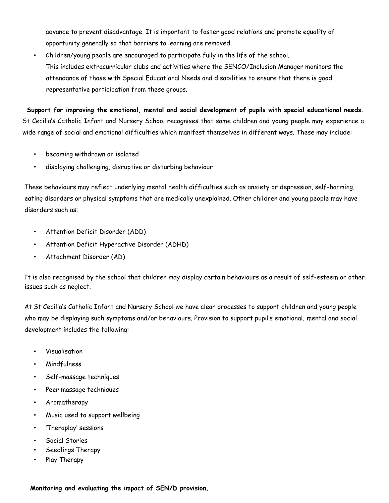advance to prevent disadvantage. It is important to foster good relations and promote equality of opportunity generally so that barriers to learning are removed.

• Children/young people are encouraged to participate fully in the life of the school. This includes extracurricular clubs and activities where the SENCO/Inclusion Manager monitors the attendance of those with Special Educational Needs and disabilities to ensure that there is good representative participation from these groups.

**Support for improving the emotional, mental and social development of pupils with special educational needs.**  St Cecilia's Catholic Infant and Nursery School recognises that some children and young people may experience a wide range of social and emotional difficulties which manifest themselves in different ways. These may include:

- becoming withdrawn or isolated
- displaying challenging, disruptive or disturbing behaviour

These behaviours may reflect underlying mental health difficulties such as anxiety or depression, self-harming, eating disorders or physical symptoms that are medically unexplained. Other children and young people may have disorders such as:

- Attention Deficit Disorder (ADD)
- Attention Deficit Hyperactive Disorder (ADHD)
- Attachment Disorder (AD)

It is also recognised by the school that children may display certain behaviours as a result of self-esteem or other issues such as neglect.

At St Cecilia's Catholic Infant and Nursery School we have clear processes to support children and young people who may be displaying such symptoms and/or behaviours. Provision to support pupil's emotional, mental and social development includes the following:

- Visualisation
- Mindfulness
- Self-massage techniques
- Peer massage techniques
- Aromatherapy
- Music used to support wellbeing
- 'Theraplay' sessions
- Social Stories
- Seedlings Therapy
- Play Therapy

**Monitoring and evaluating the impact of SEN/D provision.**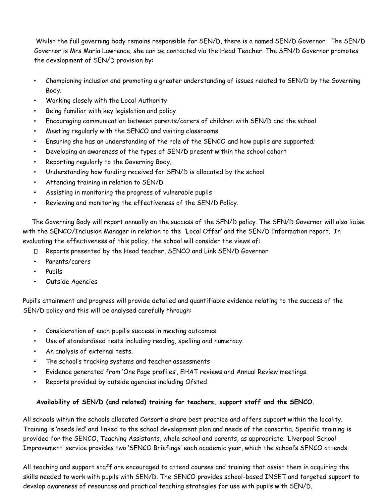Whilst the full governing body remains responsible for SEN/D, there is a named SEN/D Governor. The SEN/D Governor is Mrs Maria Lawrence, she can be contacted via the Head Teacher. The SEN/D Governor promotes the development of SEN/D provision by:

- Championing inclusion and promoting a greater understanding of issues related to SEN/D by the Governing Body;
- Working closely with the Local Authority
- Being familiar with key legislation and policy
- Encouraging communication between parents/carers of children with SEN/D and the school
- Meeting regularly with the SENCO and visiting classrooms
- Ensuring she has an understanding of the role of the SENCO and how pupils are supported;
- Developing an awareness of the types of SEN/D present within the school cohort
- Reporting regularly to the Governing Body;
- Understanding how funding received for SEN/D is allocated by the school
- Attending training in relation to SEN/D
- Assisting in monitoring the progress of vulnerable pupils
- Reviewing and monitoring the effectiveness of the SEN/D Policy.

The Governing Body will report annually on the success of the SEN/D policy. The SEN/D Governor will also liaise with the SENCO/Inclusion Manager in relation to the 'Local Offer' and the SEN/D Information report. In evaluating the effectiveness of this policy, the school will consider the views of:

- D Reports presented by the Head teacher, SENCO and Link SEN/D Governor
- Parents/carers
- Pupils
- Outside Agencies

Pupil's attainment and progress will provide detailed and quantifiable evidence relating to the success of the SEN/D policy and this will be analysed carefully through:

- Consideration of each pupil's success in meeting outcomes.
- Use of standardised tests including reading, spelling and numeracy.
- An analysis of external tests.
- The school's tracking systems and teacher assessments
- Evidence generated from 'One Page profiles', EHAT reviews and Annual Review meetings.
- Reports provided by outside agencies including Ofsted.

# **Availability of SEN/D (and related) training for teachers, support staff and the SENCO.**

All schools within the schools allocated Consortia share best practice and offers support within the locality. Training is 'needs led' and linked to the school development plan and needs of the consortia. Specific training is provided for the SENCO, Teaching Assistants, whole school and parents, as appropriate. 'Liverpool School Improvement' service provides two 'SENCO Briefings' each academic year, which the school's SENCO attends.

All teaching and support staff are encouraged to attend courses and training that assist them in acquiring the skills needed to work with pupils with SEN/D. The SENCO provides school-based INSET and targeted support to develop awareness of resources and practical teaching strategies for use with pupils with SEN/D.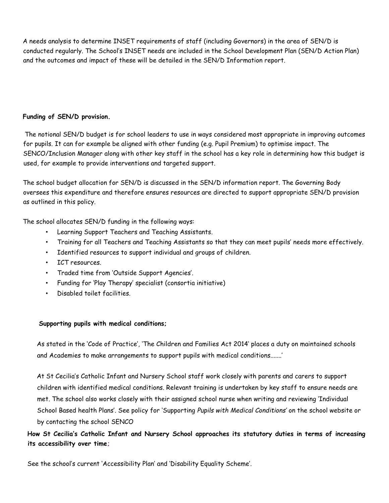A needs analysis to determine INSET requirements of staff (including Governors) in the area of SEN/D is conducted regularly. The School's INSET needs are included in the School Development Plan (SEN/D Action Plan) and the outcomes and impact of these will be detailed in the SEN/D Information report.

## **Funding of SEN/D provision.**

The notional SEN/D budget is for school leaders to use in ways considered most appropriate in improving outcomes for pupils. It can for example be aligned with other funding (e.g. Pupil Premium) to optimise impact. The SENCO/Inclusion Manager along with other key staff in the school has a key role in determining how this budget is used, for example to provide interventions and targeted support.

The school budget allocation for SEN/D is discussed in the SEN/D information report. The Governing Body oversees this expenditure and therefore ensures resources are directed to support appropriate SEN/D provision as outlined in this policy.

The school allocates SEN/D funding in the following ways:

- Learning Support Teachers and Teaching Assistants.
- Training for all Teachers and Teaching Assistants so that they can meet pupils' needs more effectively.
- Identified resources to support individual and groups of children.
- ICT resources.
- Traded time from 'Outside Support Agencies'.
- Funding for 'Play Therapy' specialist (consortia initiative)
- Disabled toilet facilities.

### **Supporting pupils with medical conditions;**

As stated in the 'Code of Practice', 'The Children and Families Act 2014' places a duty on maintained schools and Academies to make arrangements to support pupils with medical conditions.......'

At St Cecilia's Catholic Infant and Nursery School staff work closely with parents and carers to support children with identified medical conditions. Relevant training is undertaken by key staff to ensure needs are met. The school also works closely with their assigned school nurse when writing and reviewing 'Individual School Based health Plans'. See policy for 'Supporting *Pupils with Medical Conditions'* on the school website or by contacting the school SENCO

**How St Cecilia's Catholic Infant and Nursery School approaches its statutory duties in terms of increasing its accessibility over time;** 

See the school's current 'Accessibility Plan' and 'Disability Equality Scheme'.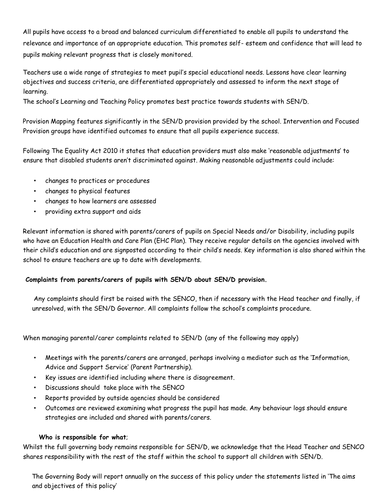All pupils have access to a broad and balanced curriculum differentiated to enable all pupils to understand the relevance and importance of an appropriate education. This promotes self- esteem and confidence that will lead to pupils making relevant progress that is closely monitored.

Teachers use a wide range of strategies to meet pupil's special educational needs. Lessons have clear learning objectives and success criteria, are differentiated appropriately and assessed to inform the next stage of learning.

The school's Learning and Teaching Policy promotes best practice towards students with SEN/D.

Provision Mapping features significantly in the SEN/D provision provided by the school. Intervention and Focused Provision groups have identified outcomes to ensure that all pupils experience success.

Following The Equality Act 2010 it states that education providers must also make 'reasonable adjustments' to ensure that disabled students aren't discriminated against. Making reasonable adjustments could include:

- changes to practices or procedures
- changes to physical features
- changes to how learners are assessed
- providing extra support and aids

Relevant information is shared with parents/carers of pupils on Special Needs and/or Disability, including pupils who have an Education Health and Care Plan (EHC Plan). They receive regular details on the agencies involved with their child's education and are signposted according to their child's needs. Key information is also shared within the school to ensure teachers are up to date with developments.

### **Complaints from parents/carers of pupils with SEN/D about SEN/D provision.**

Any complaints should first be raised with the SENCO, then if necessary with the Head teacher and finally, if unresolved, with the SEN/D Governor. All complaints follow the school's complaints procedure.

When managing parental/carer complaints related to SEN/D (any of the following may apply)

- Meetings with the parents/carers are arranged, perhaps involving a mediator such as the 'Information, Advice and Support Service' (Parent Partnership).
- Key issues are identified including where there is disagreement.
- Discussions should take place with the SENCO
- Reports provided by outside agencies should be considered
- Outcomes are reviewed examining what progress the pupil has made. Any behaviour logs should ensure strategies are included and shared with parents/carers.

### **Who is responsible for what**;

Whilst the full governing body remains responsible for SEN/D, we acknowledge that the Head Teacher and SENCO shares responsibility with the rest of the staff within the school to support all children with SEN/D.

The Governing Body will report annually on the success of this policy under the statements listed in 'The aims and objectives of this policy'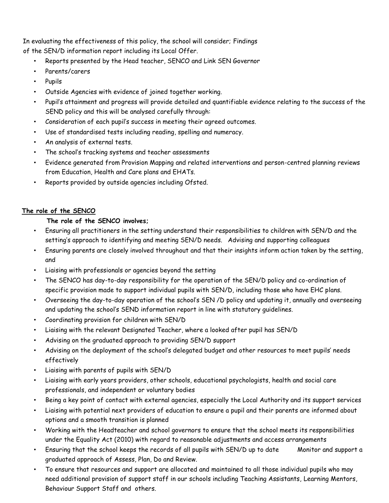In evaluating the effectiveness of this policy, the school will consider; Findings of the SEN/D information report including its Local Offer.

- Reports presented by the Head teacher, SENCO and Link SEN Governor
- Parents/carers
- Pupils
- Outside Agencies with evidence of joined together working.
- Pupil's attainment and progress will provide detailed and quantifiable evidence relating to the success of the SEND policy and this will be analysed carefully through:
- Consideration of each pupil's success in meeting their agreed outcomes.
- Use of standardised tests including reading, spelling and numeracy.
- An analysis of external tests.
- The school's tracking systems and teacher assessments
- Evidence generated from Provision Mapping and related interventions and person-centred planning reviews from Education, Health and Care plans and EHATs.
- Reports provided by outside agencies including Ofsted.

# **The role of the SENCO**

# **The role of the SENCO involves;**

- Ensuring all practitioners in the setting understand their responsibilities to children with SEN/D and the setting's approach to identifying and meeting SEN/D needs. Advising and supporting colleagues
- Ensuring parents are closely involved throughout and that their insights inform action taken by the setting, and
- Liaising with professionals or agencies beyond the setting
- The SENCO has day-to-day responsibility for the operation of the SEN/D policy and co-ordination of specific provision made to support individual pupils with SEN/D, including those who have EHC plans.
- Overseeing the day-to-day operation of the school's SEN /D policy and updating it, annually and overseeing and updating the school's SEND information report in line with statutory guidelines.
- Coordinating provision for children with SEN/D
- Liaising with the relevant Designated Teacher, where a looked after pupil has SEN/D
- Advising on the graduated approach to providing SEN/D support
- Advising on the deployment of the school's delegated budget and other resources to meet pupils' needs effectively
- Liaising with parents of pupils with SEN/D
- Liaising with early years providers, other schools, educational psychologists, health and social care professionals, and independent or voluntary bodies
- Being a key point of contact with external agencies, especially the Local Authority and its support services
- Liaising with potential next providers of education to ensure a pupil and their parents are informed about options and a smooth transition is planned
- Working with the Headteacher and school governors to ensure that the school meets its responsibilities under the Equality Act (2010) with regard to reasonable adjustments and access arrangements
- Ensuring that the school keeps the records of all pupils with SEN/D up to date Monitor and support a graduated approach of Assess, Plan, Do and Review.
- To ensure that resources and support are allocated and maintained to all those individual pupils who may need additional provision of support staff in our schools including Teaching Assistants, Learning Mentors, Behaviour Support Staff and others.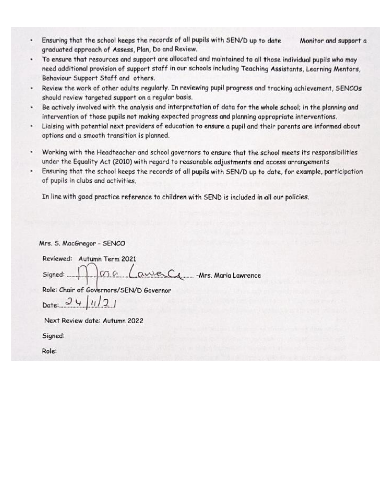- Ensuring that the school keeps the records of all pupils with SEN/D up to date Monitor and support a graduated approach of Assess, Plan, Do and Review.
- To ensure that resources and support are allocated and maintained to all those individual pupils who may need additional provision of support staff in our schools including Teaching Assistants, Learning Mentors, Behaviour Support Staff and others.
- Review the work of other adults regularly. In reviewing pupil progress and tracking achievement, SENCOs  $\bullet$ should review targeted support on a regular basis.
- Be actively involved with the analysis and interpretation of data for the whole school; in the planning and intervention of those pupils not making expected progress and planning appropriate interventions.
- Liaising with potential next providers of education to ensure a pupil and their parents are informed about ٠ options and a smooth transition is planned.
- Working with the Headteacher and school governors to ensure that the school meets its responsibilities ٠ under the Equality Act (2010) with regard to reasonable adjustments and access arrangements
- $\bullet$  . Ensuring that the school keeps the records of all pupils with SEN/D up to date, for example, participation of pupils in clubs and activities.

In line with good practice reference to children with SEND is included in all our policies.

| Mrs. S. MacGregor - SENCO                 |
|-------------------------------------------|
| Reviewed: Autumn Term 2021                |
| Signed: 1000 LaweCL - Mrs. Maria Lawrence |
| Role: Chair of Governors/SEN/D Governor   |
| Date: $24/1/21$                           |
| Next Review date: Autumn 2022             |
|                                           |

Signed:

Role: